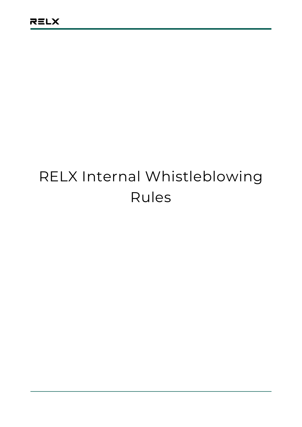# RELX Internal Whistleblowing Rules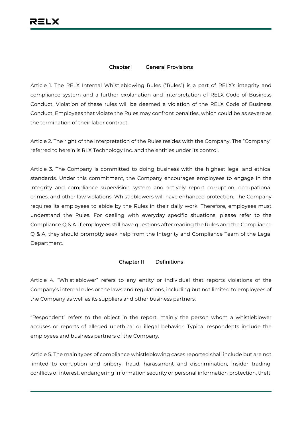### **Chapter I General Provisions**

Article 1. The RELX Internal Whistleblowing Rules ("Rules") is a part of RELX's integrity and compliance system and a further explanation and interpretation of RELX Code of Business Conduct. Violation of these rules will be deemed a violation of the RELX Code of Business Conduct. Employees that violate the Rules may confront penalties, which could be as severe as the termination of their labor contract.

Article 2. The right of the interpretation of the Rules resides with the Company. The "Company" referred to herein is RLX Technology Inc. and the entities under its control.

Article 3. The Company is committed to doing business with the highest legal and ethical standards. Under this commitment, the Company encourages employees to engage in the integrity and compliance supervision system and actively report corruption, occupational crimes, and other law violations. Whistleblowers will have enhanced protection. The Company requires its employees to abide by the Rules in their daily work. Therefore, employees must understand the Rules. For dealing with everyday specific situations, please refer to the Compliance Q & A. If employees still have questions after reading the Rules and the Compliance Q & A, they should promptly seek help from the Integrity and Compliance Team of the Legal Department.

#### **Chapter II Definitions**

Article 4. "Whistleblower" refers to any entity or individual that reports violations of the Company's internal rules or the laws and regulations, including but not limited to employees of the Company as well as its suppliers and other business partners.

"Respondent" refers to the object in the report, mainly the person whom a whistleblower accuses or reports of alleged unethical or illegal behavior. Typical respondents include the employees and business partners of the Company.

Article 5. The main types of compliance whistleblowing cases reported shall include but are not limited to corruption and bribery, fraud, harassment and discrimination, insider trading, conflicts of interest, endangering information security or personal information protection, theft,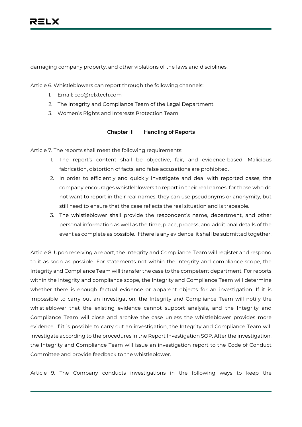damaging company property, and other violations of the laws and disciplines.

Article 6. Whistleblowers can report through the following channels:

- 1. Email: coc@relxtech.com
- 2. The Integrity and Compliance Team of the Legal Department
- 3. Women's Rights and Interests Protection Team

#### **Chapter III Handling of Reports**

Article 7. The reports shall meet the following requirements:

- 1. The report's content shall be objective, fair, and evidence-based. Malicious fabrication, distortion of facts, and false accusations are prohibited.
- 2. In order to efficiently and quickly investigate and deal with reported cases, the company encourages whistleblowers to report in their real names; for those who do not want to report in their real names, they can use pseudonyms or anonymity, but still need to ensure that the case reflects the real situation and is traceable.
- 3. The whistleblower shall provide the respondent's name, department, and other personal information as well as the time, place, process, and additional details of the event as complete as possible. If there is any evidence, it shall be submitted together.

Article 8. Upon receiving a report, the Integrity and Compliance Team will register and respond to it as soon as possible. For statements not within the integrity and compliance scope, the Integrity and Compliance Team will transfer the case to the competent department. For reports within the integrity and compliance scope, the Integrity and Compliance Team will determine whether there is enough factual evidence or apparent objects for an investigation. If it is impossible to carry out an investigation, the Integrity and Compliance Team will notify the whistleblower that the existing evidence cannot support analysis, and the Integrity and Compliance Team will close and archive the case unless the whistleblower provides more evidence. If it is possible to carry out an investigation, the Integrity and Compliance Team will investigate according to the procedures in the Report Investigation SOP. After the investigation, the Integrity and Compliance Team will issue an investigation report to the Code of Conduct Committee and provide feedback to the whistleblower.

Article 9. The Company conducts investigations in the following ways to keep the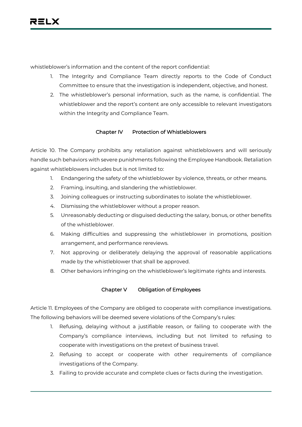whistleblower's information and the content of the report confidential:

- 1. The Integrity and Compliance Team directly reports to the Code of Conduct Committee to ensure that the investigation is independent, objective, and honest.
- 2. The whistleblower's personal information, such as the name, is confidential. The whistleblower and the report's content are only accessible to relevant investigators within the Integrity and Compliance Team.

# **Chapter IV Protection of Whistleblowers**

Article 10. The Company prohibits any retaliation against whistleblowers and will seriously handle such behaviors with severe punishments following the Employee Handbook. Retaliation against whistleblowers includes but is not limited to:

- 1. Endangering the safety of the whistleblower by violence, threats, or other means.
- 2. Framing, insulting, and slandering the whistleblower.
- 3. Joining colleagues or instructing subordinates to isolate the whistleblower.
- 4. Dismissing the whistleblower without a proper reason.
- 5. Unreasonably deducting or disguised deducting the salary, bonus, or other benefits of the whistleblower.
- 6. Making difficulties and suppressing the whistleblower in promotions, position arrangement, and performance rereviews.
- 7. Not approving or deliberately delaying the approval of reasonable applications made by the whistleblower that shall be approved.
- 8. Other behaviors infringing on the whistleblower's legitimate rights and interests.

## **Chapter V Obligation of Employees**

Article 11. Employees of the Company are obliged to cooperate with compliance investigations. The following behaviors will be deemed severe violations of the Company's rules:

- 1. Refusing, delaying without a justifiable reason, or failing to cooperate with the Company's compliance interviews, including but not limited to refusing to cooperate with investigations on the pretext of business travel.
- 2. Refusing to accept or cooperate with other requirements of compliance investigations of the Company.
- 3. Failing to provide accurate and complete clues or facts during the investigation.